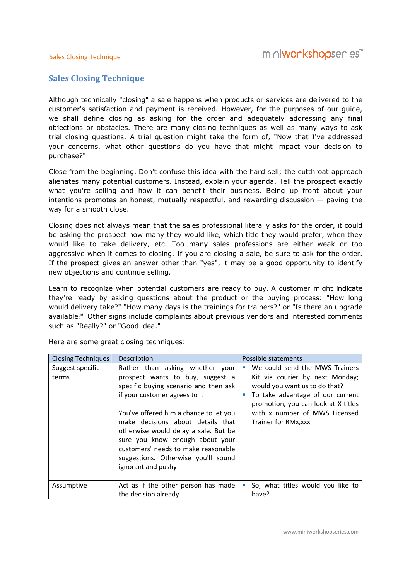#### Sales Closing Technique

### Sales Closing Technique

Although technically "closing" a sale happens when products or services are delivered to the customer's satisfaction and payment is received. However, for the purposes of our guide, customer's purposes guide, we shall define closing as asking for the order and adequately addressing any final we shall define closing as asking for the order and adequately addressing any final<br>objections or obstacles. There are many closing techniques as well as many ways to ask trial closing questions. A trial question might take the form of, "Now that I've addressed objections or obstacles. There are many closing techniques as well as many ways to ask<br>trial closing questions. A trial question might take the form of, "Now that I've addressed<br>your concerns, what other questions do you h purchase?" your concerns, what other questions do you have that might impact your decision to<br>purchase?"<br>Close from the beginning. Don't confuse this idea with the hard sell; the cutthroat approach technically "closing" a sale happens when products or services are delivered to the<br>'s satisfaction and payment is received. However, for the purposes of our guide,<br>define closing as asking for the order and adequately add

alienates many potential customers. Instead, explain your agenda. Tell the prospect exactly alienates customers. agenda. prospect exactly alienates many potential customers. Instead, explain your agenda. Tell the prospect exactly<br>what you're selling and how it can benefit their business. Being up front about your intentions promotes an honest, mutually respectful, and rewarding discussion  $-$  paving the way for a smooth close. intentions promotes an honest, mutually respectful, and rewarding discussion — paving the<br>way for a smooth close.<br>Closing does not always mean that the sales professional literally asks for the order, it could

be asking the prospect how many they would like, which title they would prefer, when they would like to take delivery, etc. Too many sales professions are either weak or too aggressive when it comes to closing. If you are closing a sale, be sure to ask for the order. aggressive when it comes to closing. If you are closing a sale, be sure to ask for the order.<br>If the prospect gives an answer other than "yes", it may be a good opportunity to identify new objections and continue selling. If the prospect gives an answer other than "yes", it may be a good opportunity to identify<br>new objections and continue selling.<br>Learn to recognize when potential customers are ready to buy. A customer might indicate does not always mean that the sales professional literally asks for the order, it could<br>ig the prospect how many they would like, which title they would prefer, when they<br>ike to take delivery, etc. Too many sales professio

they're ready by asking questions about the product or the buying process: "How long would delivery take?" "How many days is the trainings for trainers?" or "Is there an upgrade available?" Other signs include complaints about previous vendors and interested comments such as "Really?" or "Good idea." s ready by asking questions about the product<br>delivery take?" "How many days is the trainings f<br>ble?" Other signs include complaints about previou

| <b>Closing Techniques</b> | Description                                                                                                                                                                                                                                                                                                                                                                                                 | Possible statements                                                                                                                                                                                                                    |
|---------------------------|-------------------------------------------------------------------------------------------------------------------------------------------------------------------------------------------------------------------------------------------------------------------------------------------------------------------------------------------------------------------------------------------------------------|----------------------------------------------------------------------------------------------------------------------------------------------------------------------------------------------------------------------------------------|
| Suggest specific<br>terms | Rather than asking whether your<br>prospect wants to buy, suggest a<br>specific buying scenario and then ask<br>if your customer agrees to it<br>You've offered him a chance to let you<br>make decisions about details that<br>otherwise would delay a sale. But be<br>sure you know enough about your<br>customers' needs to make reasonable<br>suggestions. Otherwise you'll sound<br>ignorant and pushy | We could send the MWS Trainers<br>Kit via courier by next Monday;<br>would you want us to do that?<br>To take advantage of our current<br>promotion, you can look at X titles<br>with x number of MWS Licensed<br>Trainer for RMx, xxx |
| Assumptive                | Act as if the other person has made<br>the decision already                                                                                                                                                                                                                                                                                                                                                 | So, what titles would you like to<br>ш<br>have?                                                                                                                                                                                        |

Here are some great closing techniques: Here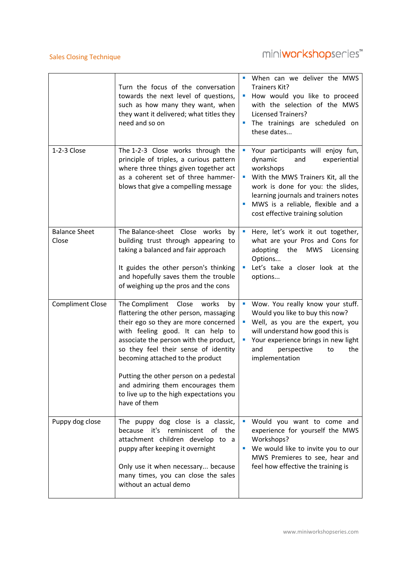### Sales Closing Technique

# miniworkshopseries<sup>\*\*</sup>

|                               | Turn the focus of the conversation<br>towards the next level of questions,<br>such as how many they want, when<br>they want it delivered; what titles they<br>need and so on                                                                                                                                                                                                                                                  | When can we deliver the MWS<br>п<br>Trainers Kit?<br>How would you like to proceed<br>×<br>with the selection of the MWS<br><b>Licensed Trainers?</b><br>The trainings are scheduled on<br>$\mathcal{L}_{\mathcal{A}}$<br>these dates                                                  |
|-------------------------------|-------------------------------------------------------------------------------------------------------------------------------------------------------------------------------------------------------------------------------------------------------------------------------------------------------------------------------------------------------------------------------------------------------------------------------|----------------------------------------------------------------------------------------------------------------------------------------------------------------------------------------------------------------------------------------------------------------------------------------|
| 1-2-3 Close                   | The 1-2-3 Close works through the<br>principle of triples, a curious pattern<br>where three things given together act<br>as a coherent set of three hammer-<br>blows that give a compelling message                                                                                                                                                                                                                           | Your participants will enjoy fun,<br>×<br>dynamic<br>and<br>experiential<br>workshops<br>With the MWS Trainers Kit, all the<br>п<br>work is done for you: the slides,<br>learning journals and trainers notes<br>MWS is a reliable, flexible and a<br>cost effective training solution |
| <b>Balance Sheet</b><br>Close | The Balance-sheet Close works<br>by<br>building trust through appearing to<br>taking a balanced and fair approach<br>It guides the other person's thinking<br>and hopefully saves them the trouble<br>of weighing up the pros and the cons                                                                                                                                                                                    | Here, let's work it out together,<br>×<br>what are your Pros and Cons for<br><b>MWS</b><br>adopting<br>the<br>Licensing<br>Options<br>Let's take a closer look at the<br>×<br>options                                                                                                  |
| <b>Compliment Close</b>       | The Compliment<br>Close<br>works<br>by<br>flattering the other person, massaging<br>their ego so they are more concerned<br>with feeling good. It can help to<br>associate the person with the product,<br>so they feel their sense of identity<br>becoming attached to the product<br>Putting the other person on a pedestal<br>and admiring them encourages them<br>to live up to the high expectations you<br>have of them | Wow. You really know your stuff.<br>I.<br>Would you like to buy this now?<br>Well, as you are the expert, you<br>will understand how good this is<br>Your experience brings in new light<br>ш<br>perspective<br>the<br>and<br>to<br>implementation                                     |
| Puppy dog close               | The puppy dog close is a classic,<br>because it's reminiscent of the<br>attachment children develop to a<br>puppy after keeping it overnight<br>Only use it when necessary because<br>many times, you can close the sales<br>without an actual demo                                                                                                                                                                           | Would you want to come and<br>×<br>experience for yourself the MWS<br>Workshops?<br>We would like to invite you to our<br>MWS Premieres to see, hear and<br>feel how effective the training is                                                                                         |